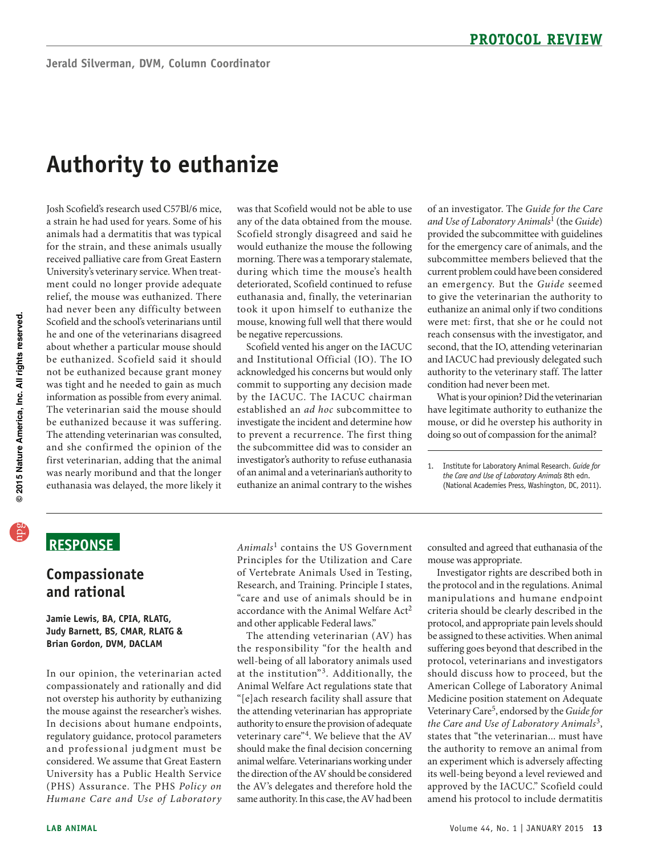# **Authority to euthanize**

 for the strain, and these animals usually University's veterinary service. When treat- ment could no longer provide adequate had never been any difficulty between The veterinarian said the mouse should be euthanized because it was suffering. The attending veterinarian was consulted, Josh Scofield's research used C57Bl/6 mice, a strain he had used for years. Some of his animals had a dermatitis that was typical received palliative care from Great Eastern relief, the mouse was euthanized. There Scofield and the school's veterinarians until he and one of the veterinarians disagreed about whether a particular mouse should be euthanized. Scofield said it should not be euthanized because grant money was tight and he needed to gain as much information as possible from every animal. and she confirmed the opinion of the first veterinarian, adding that the animal was nearly moribund and that the longer euthanasia was delayed, the more likely it

 would euthanize the mouse the following morning. There was a temporary stalemate, euthanasia and, finally, the veterinarian was that Scofield would not be able to use any of the data obtained from the mouse. Scofield strongly disagreed and said he during which time the mouse's health deteriorated, Scofield continued to refuse took it upon himself to euthanize the mouse, knowing full well that there would be negative repercussions.

by the IACUC. The IACUC chairman investigator's authority to refuse euthanasia of an animal and a veterinarian's authority to Scofield vented his anger on the IACUC and Institutional Official (IO). The IO acknowledged his concerns but would only commit to supporting any decision made established an *ad hoc* subcommittee to investigate the incident and determine how to prevent a recurrence. The first thing the subcommittee did was to consider an euthanize an animal contrary to the wishes

 provided the subcommittee with guidelines current problem could have been considered to give the veterinarian the authority to of an investigator. The *Guide for the Care and Use of Laboratory Animals*1 (the *Guide*) for the emergency care of animals, and the subcommittee members believed that the an emergency. But the Guide seemed euthanize an animal only if two conditions were met: first, that she or he could not reach consensus with the investigator, and second, that the IO, attending veterinarian and IACUC had previously delegated such authority to the veterinary staff. The latter condition had never been met.

 What is your opinion? Did the veterinarian have legitimate authority to euthanize the mouse, or did he overstep his authority in doing so out of compassion for the animal?

1. Institute for Laboratory Animal Research. *Guide for the Care and Use of Laboratory Animals* 8th edn. (National Academies Press, Washington, DC, 2011).

## **ReSponSe**

### **Compassionate and rational**

### **Jamie Lewis, BA, CpIA, RLATG, Judy Barnett, BS, CMAR, RLATG & Brian Gordon, DVM, DACLAM**

 not overstep his authority by euthanizing In de cisions about humane endp oints, regulatory guidance, protocol parameters In our opinion, the veterinarian acted compassionately and rationally and did the mouse against the researcher's wishes. and professional judgment must be considered. We assume that Great Eastern University has a Public Health Service (PHS) Assurance. The PHS Policy on *Humane Care and Use of Laboratory* 

*Animals<sup>1</sup>* contains the US Government Principles for the Utilization and Care of Vertebrate Animals Used in Testing, Research, and Training. Principle I states, "care and use of animals should be in accordance with the Animal Welfare Act<sup>2</sup> and other applicable Federal laws."

at the institution"<sup>3</sup>. Additionally, the the attending veterinarian has appropriate authority to ensure the provision of adequate should make the final decision concerning The attending veterinarian (AV) has the responsibility "for the health and well-being of all laboratory animals used Animal Welfare Act regulations state that "[e]ach research facility shall assure that veterinary care"4. We believe that the AV animal welfare. Veterinarians working under the direction of the AV should be considered the AV's delegates and therefore hold the same authority. In this case, the AV had been

consulted and agreed that euthanasia of the mouse was appropriate.

 be assigned to these activities. When animal Investigator rights are described both in the protocol and in the regulations. Animal manipulations and humane endpoint criteria should be clearly described in the protocol, and appropriate pain levels should suffering goes beyond that described in the protocol, veterinarians and investigators should discuss how to proceed, but the American College of Laboratory Animal Medicine position statement on Adequate Veterinary Care5, endorsed by the *Guide for the Care and Use of Laboratory Animals*3 , states that "the veterinarian... must have the authority to remove an animal from an experiment which is adversely affecting its well-being beyond a level reviewed and approved by the IACUC." Scofield could amend his protocol to include dermatitis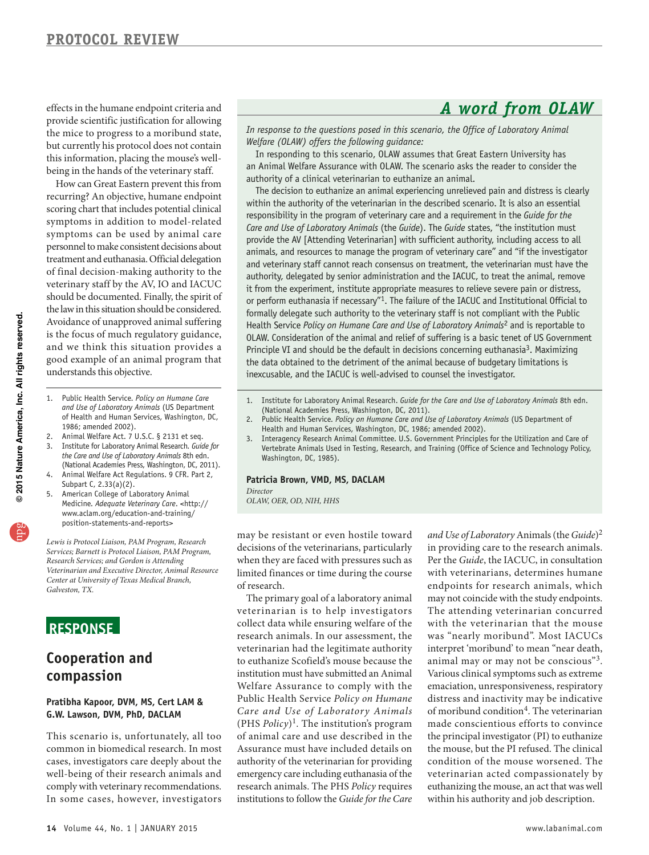effects in the humane endpoint criteria and *A* word from OLAW provide scientific justification for allowing the mice to progress to a moribund state, but currently his protocol does not contain this information, placing the mouse's wellbeing in the hands of the veterinary staff.

 recurring? An objective, humane endpoint scoring chart that includes potential clinical treatment and euthanasia. Official delegation of final decision-making authority to the the law in this situation should be considered. Avoidance of unapproved animal suffering is the focus of much regulatory guidance, How can Great Eastern prevent this from symptoms in addition to model-related symptoms can be used by animal care personnel to make consistent decisions about veterinary staff by the AV, IO and IACUC should be documented. Finally, the spirit of and we think this situation provides a good example of an animal program that understands this objective.

- 1. Public Health Service. *Policy on Humane Care and Use of Laboratory Animals* (uS Department of Health and Human Services, Washington, DC, 1986; amended 2002).
- 2. Animal Welfare Act.  $7 \text{ U.S.C. }$  § 2131 et seq. 3. Institute for Laboratory Animal Research*. Guide for the Care and Use of Laboratory Animals* 8th edn. (National Academies Press, Washington, DC, 2011).
- 4. Animal Welfare Act Regulations. 9 CFR. Part 2, Subpart C, 2.33(a)(2).
- American College of Laboratory Animal Medicine. *Adequate Veterinary Care*. <http:// www.aclam.org/education-and-training/ position-statements-and-reports>

*Lewis is Protocol Liaison, PAM Program, Research Services; Barnett is Protocol Liaison, PAM Program, Research Services; and Gordon is Attending Veterinarian and Executive Director, Animal Resource Center at University of Texas Medical Branch, Galveston, TX.* 

### **ReSponSe**

### **Cooperation and compassion**

### **pratibha Kapoor, DVM, MS, Cert LAM & G.W. Lawson, DVM, phD, DACLAM**

This scenario is, unfortunately, all too common in biomedical research. In most cases, investigators care deeply about the well-being of their research animals and comply with veterinary recommendations. In some cases, however, investigators

*In response to the questions posed in this scenario, the Office of Laboratory Animal Welfare (OLAW) offers the following guidance:* 

In responding to this scenario, OLAW assumes that Great Eastern University has an Animal Welfare Assurance with OLAW. The scenario asks the reader to consider the authority of a clinical veterinarian to euthanize an animal.

The decision to euthanize an animal experiencing unrelieved pain and distress is clearly within the authority of the veterinarian in the described scenario. It is also an essential responsibility in the program of veterinary care and a requirement in the *Guide for the Care and Use of Laboratory Animals* (the *Guide*). The *Guide* states, "the institution must provide the AV [Attending Veterinarian] with sufficient authority, including access to all animals, and resources to manage the program of veterinary care" and "if the investigator and veterinary staff cannot reach consensus on treatment, the veterinarian must have the authority, delegated by senior administration and the IACUC, to treat the animal, remove it from the experiment, institute appropriate measures to relieve severe pain or distress, or perform euthanasia if necessary"<sup>1</sup>. The failure of the IACUC and Institutional Official to formally delegate such authority to the veterinary staff is not compliant with the Public Health Service *Policy on Humane Care and Use of Laboratory Animals*2 and is reportable to OLAW. Consideration of the animal and relief of suffering is a basic tenet of uS Government Principle VI and should be the default in decisions concerning euthanasia<sup>3</sup>. Maximizing the data obtained to the detriment of the animal because of budgetary limitations is inexcusable, and the IACuC is well-advised to counsel the investigator.

- 1. Institute for Laboratory Animal Research. *Guide for the Care and Use of Laboratory Animals* 8th edn. (National Academies Press, Washington, DC, 2011).
- 2. Public Health Service. *Policy on Humane Care and Use of Laboratory Animals* (US Department of Health and Human Services, Washington, DC, 1986; amended 2002).
- 3. Interagency Research Animal Committee. U.S. Government Principles for the Utilization and Care of Vertebrate Animals used in Testing, Research, and Training (Office of Science and Technology Policy, Washington, DC, 1985).

#### **patricia Brown, VMD, MS, DACLAM**

*Director* 

*OLAW, OER, OD, NIH, HHS* 

 limited finances or time during the course may be resistant or even hostile toward decisions of the veterinarians, particularly when they are faced with pressures such as of research.

 The primary goal of a laboratory animal veterinarian had the legitimate authority  Public Health S er vice *Policy on Humane*  (PHS *Policy*)1. The institution's program authority of the veterinarian for providing veterinarian is to help investigators collect data while ensuring welfare of the research animals. In our assessment, the to euthanize Scofield's mouse because the institution must have submitted an Animal Welfare Assurance to comply with the *Care and Use of Laboratory Animals* of animal care and use described in the Assurance must have included details on emergency care including euthanasia of the research animals. The PHS *Policy* requires institutions to follow the *Guide for the Care* 

 Per the *Guide*, the IACUC, in consultation The attending veterinarian concurred interpret 'moribund' to mean "near death, emaciation, unresponsiveness, respiratory of moribund condition<sup>4</sup>. The veterinarian the principal investigator (PI) to euthanize the mouse, but the PI refused. The clinical *and Use of Laboratory* Animals (the *Guide*)2 in providing care to the research animals. with veterinarians, determines humane endpoints for research animals, which may not coincide with the study endpoints. with the veterinarian that the mouse was "nearly moribund". Most IACUCs animal may or may not be conscious"<sup>3</sup>. Various clinical symptoms such as extreme distress and inactivity may be indicative made conscientious efforts to convince condition of the mouse worsened. The veterinarian acted compassionately by euthanizing the mouse, an act that was well within his authority and job description.